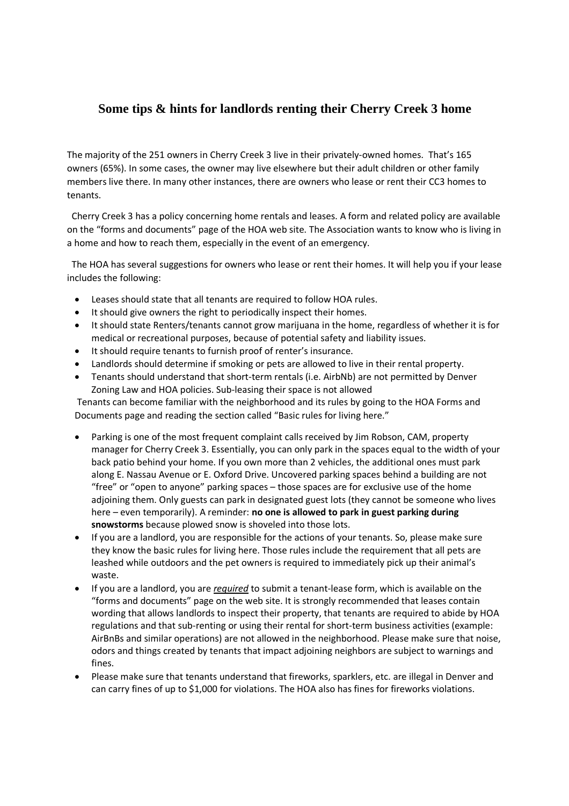## **Some tips & hints for landlords renting their Cherry Creek 3 home**

The majority of the 251 owners in Cherry Creek 3 live in their privately-owned homes. That's 165 owners (65%). In some cases, the owner may live elsewhere but their adult children or other family members live there. In many other instances, there are owners who lease or rent their CC3 homes to tenants.

Cherry Creek 3 has a policy concerning home rentals and leases. A form and related policy are available on the "forms and documents" page of the HOA web site. The Association wants to know who is living in a home and how to reach them, especially in the event of an emergency.

The HOA has several suggestions for owners who lease or rent their homes. It will help you if your lease includes the following:

- Leases should state that all tenants are required to follow HOA rules.
- It should give owners the right to periodically inspect their homes.
- It should state Renters/tenants cannot grow marijuana in the home, regardless of whether it is for medical or recreational purposes, because of potential safety and liability issues.
- It should require tenants to furnish proof of renter's insurance.
- Landlords should determine if smoking or pets are allowed to live in their rental property.
- Tenants should understand that short-term rentals (i.e. AirbNb) are not permitted by Denver Zoning Law and HOA policies. Sub-leasing their space is not allowed

Tenants can become familiar with the neighborhood and its rules by going to the HOA Forms and Documents page and reading the section called "Basic rules for living here."

- Parking is one of the most frequent complaint calls received by Jim Robson, CAM, property manager for Cherry Creek 3. Essentially, you can only park in the spaces equal to the width of your back patio behind your home. If you own more than 2 vehicles, the additional ones must park along E. Nassau Avenue or E. Oxford Drive. Uncovered parking spaces behind a building are not "free" or "open to anyone" parking spaces – those spaces are for exclusive use of the home adjoining them. Only guests can park in designated guest lots (they cannot be someone who lives here – even temporarily). A reminder: **no one is allowed to park in guest parking during snowstorms** because plowed snow is shoveled into those lots.
- If you are a landlord, you are responsible for the actions of your tenants. So, please make sure they know the basic rules for living here. Those rules include the requirement that all pets are leashed while outdoors and the pet owners is required to immediately pick up their animal's waste.
- If you are a landlord, you are *required* to submit a tenant-lease form, which is available on the "forms and documents" page on the web site. It is strongly recommended that leases contain wording that allows landlords to inspect their property, that tenants are required to abide by HOA regulations and that sub-renting or using their rental for short-term business activities (example: AirBnBs and similar operations) are not allowed in the neighborhood. Please make sure that noise, odors and things created by tenants that impact adjoining neighbors are subject to warnings and fines.
- Please make sure that tenants understand that fireworks, sparklers, etc. are illegal in Denver and can carry fines of up to \$1,000 for violations. The HOA also has fines for fireworks violations.